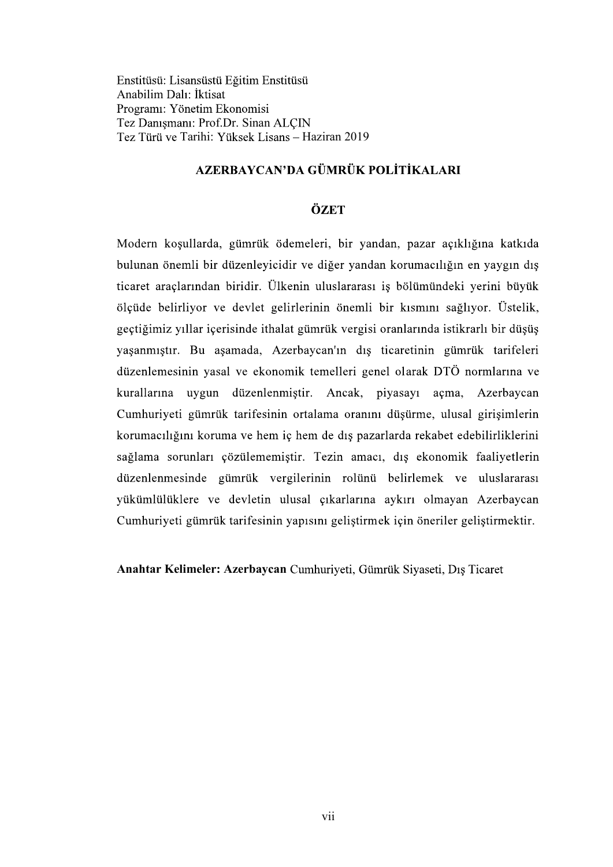Enstitüsü: Lisansüstü Eğitim Enstitüsü Anabilim Dalı: İktisat Programı: Yönetim Ekonomisi Tez Danışmanı: Prof.Dr. Sinan ALÇIN Tez Türü ve Tarihi: Yüksek Lisans - Haziran 2019

# AZERBAYCAN'DA GÜMRÜK POLİTİKALARI

## ÖZET

Modern koşullarda, gümrük ödemeleri, bir yandan, pazar açıklığına katkıda bulunan önemli bir düzenleyicidir ve diğer yandan korumacılığın en yaygın dış ticaret araçlarından biridir. Ülkenin uluslararası iş bölümündeki yerini büyük ölçüde belirliyor ve devlet gelirlerinin önemli bir kısmını sağlıyor. Üstelik, geçtiğimiz yıllar içerisinde ithalat gümrük vergisi oranlarında istikrarlı bir düşüş yaşanmıştır. Bu aşamada, Azerbaycan'ın dış ticaretinin gümrük tarifeleri düzenlemesinin yasal ve ekonomik temelleri genel olarak DTÖ normlarına ve kurallarına uygun düzenlenmiştir. Ancak, piyasayı açma, Azerbaycan Cumhuriyeti gümrük tarifesinin ortalama oranını düşürme, ulusal girişimlerin korumacılığını koruma ve hem iç hem de dış pazarlarda rekabet edebilirliklerini sağlama sorunları çözülememiştir. Tezin amacı, dış ekonomik faaliyetlerin düzenlenmesinde gümrük vergilerinin rolünü belirlemek ve uluslararası yükümlülüklere ve devletin ulusal çıkarlarına aykırı olmayan Azerbaycan Cumhuriyeti gümrük tarifesinin yapısını geliştirmek için öneriler geliştirmektir.

Anahtar Kelimeler: Azerbaycan Cumhuriyeti, Gümrük Siyaseti, Dış Ticaret